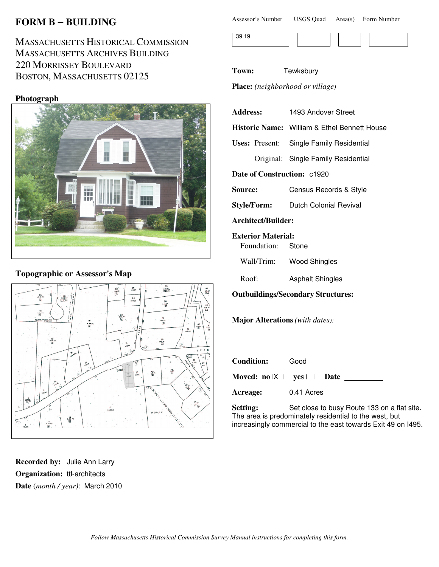# **FORM B** − **BUILDING**

MASSACHUSETTS HISTORICAL COMMISSION MASSACHUSETTS ARCHIVES BUILDING 220 MORRISSEY BOULEVARD BOSTON, MASSACHUSETTS 02125

#### **Photograph**



### **Topographic or Assessor's Map**



**Recorded by:** Julie Ann Larry **Organization:** ttl-architects **Date** (*month / year)*: March 2010

| Assessor's Number | <b>USGS Quad</b> | Area(s) Form Number |  |
|-------------------|------------------|---------------------|--|
|                   |                  |                     |  |

|--|--|--|--|

**Town:** Tewksbury

**Place:** *(neighborhood or village)*

|                | Address: 1493 Andover Street                   |                                                     |  |
|----------------|------------------------------------------------|-----------------------------------------------------|--|
|                |                                                | <b>Historic Name:</b> William & Ethel Bennett House |  |
|                |                                                | <b>Uses: Present:</b> Single Family Residential     |  |
|                |                                                | Original: Single Family Residential                 |  |
|                |                                                | <b>Date of Construction: c1920</b>                  |  |
| <b>Source:</b> |                                                | Census Records & Style                              |  |
|                |                                                | Style/Form: Dutch Colonial Revival                  |  |
|                | Architect/Builder:                             |                                                     |  |
|                | <b>Exterior Material:</b><br>Foundation: Stone |                                                     |  |
|                |                                                | Wall/Trim: Wood Shingles                            |  |
| Roof:          |                                                | <b>Asphalt Shingles</b>                             |  |

**Outbuildings/Secondary Structures:**

**Major Alterations** *(with dates):*

| <b>Condition:</b> | Good                                  |  |
|-------------------|---------------------------------------|--|
|                   | Moved: $no \mid X \mid yes \mid$ Date |  |
| Acreage:          | 0.41 Acres                            |  |

Setting: Set close to busy Route 133 on a flat site. The area is predominately residential to the west, but increasingly commercial to the east towards Exit 49 on I495.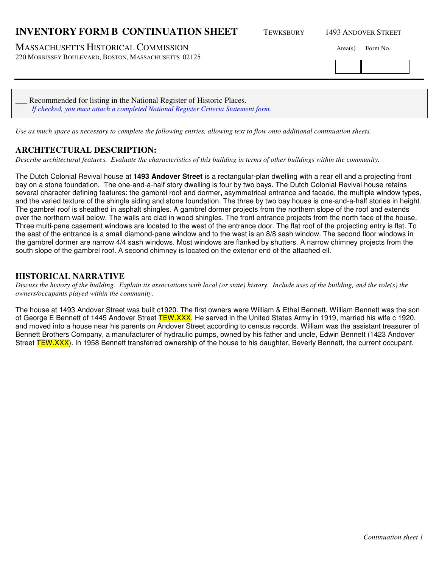### **INVENTORY FORM B CONTINUATION SHEET** TEWKSBURY 1493 ANDOVER STREET

MASSACHUSETTS HISTORICAL COMMISSION Area(s) Form No.

220 MORRISSEY BOULEVARD, BOSTON, MASSACHUSETTS 02125

| Recommended for listing in the National Register of Historic Places.               |  |
|------------------------------------------------------------------------------------|--|
| If checked, you must attach a completed National Register Criteria Statement form. |  |

*Use as much space as necessary to complete the following entries, allowing text to flow onto additional continuation sheets.* 

### **ARCHITECTURAL DESCRIPTION:**

*Describe architectural features. Evaluate the characteristics of this building in terms of other buildings within the community.*

The Dutch Colonial Revival house at **1493 Andover Street** is a rectangular-plan dwelling with a rear ell and a projecting front bay on a stone foundation. The one-and-a-half story dwelling is four by two bays. The Dutch Colonial Revival house retains several character defining features: the gambrel roof and dormer, asymmetrical entrance and facade, the multiple window types, and the varied texture of the shingle siding and stone foundation. The three by two bay house is one-and-a-half stories in height. The gambrel roof is sheathed in asphalt shingles. A gambrel dormer projects from the northern slope of the roof and extends over the northern wall below. The walls are clad in wood shingles. The front entrance projects from the north face of the house. Three multi-pane casement windows are located to the west of the entrance door. The flat roof of the projecting entry is flat. To the east of the entrance is a small diamond-pane window and to the west is an 8/8 sash window. The second floor windows in the gambrel dormer are narrow 4/4 sash windows. Most windows are flanked by shutters. A narrow chimney projects from the south slope of the gambrel roof. A second chimney is located on the exterior end of the attached ell.

### **HISTORICAL NARRATIVE**

*Discuss the history of the building. Explain its associations with local (or state) history. Include uses of the building, and the role(s) the owners/occupants played within the community.*

The house at 1493 Andover Street was built c1920. The first owners were William & Ethel Bennett. William Bennett was the son of George E Bennett of 1445 Andover Street TEW.XXX. He served in the United States Army in 1919, married his wife c 1920, and moved into a house near his parents on Andover Street according to census records. William was the assistant treasurer of Bennett Brothers Company, a manufacturer of hydraulic pumps, owned by his father and uncle, Edwin Bennett (1423 Andover Street TEW.XXX). In 1958 Bennett transferred ownership of the house to his daughter, Beverly Bennett, the current occupant.